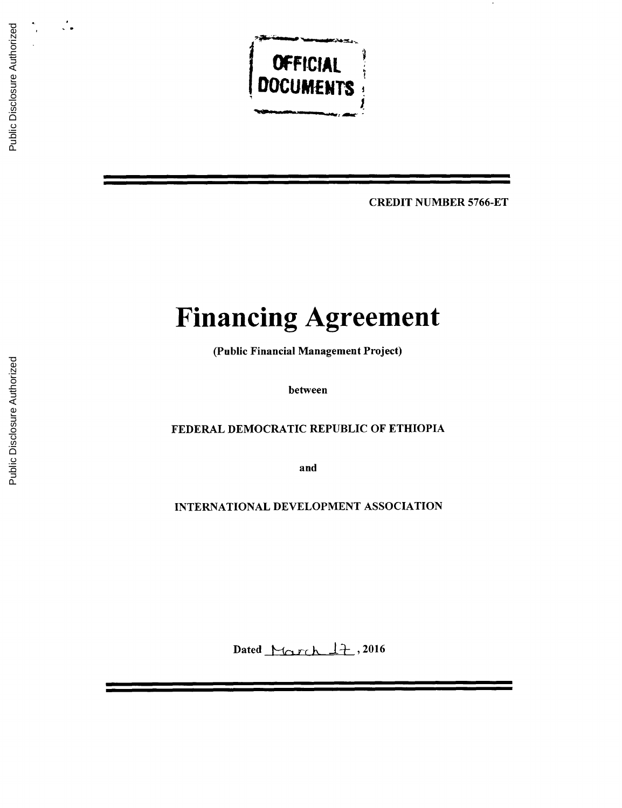

CREDIT **NUMBER 5766-ET**

# **Financing Agreement**

(Public Financial Management Project)

between

FEDERAL DEMOCRATIC REPUBLIC OF ETHIOPIA

and

**INTERNATIONAL DEVELOPMENT ASSOCIATION**

Dated March 17, 2016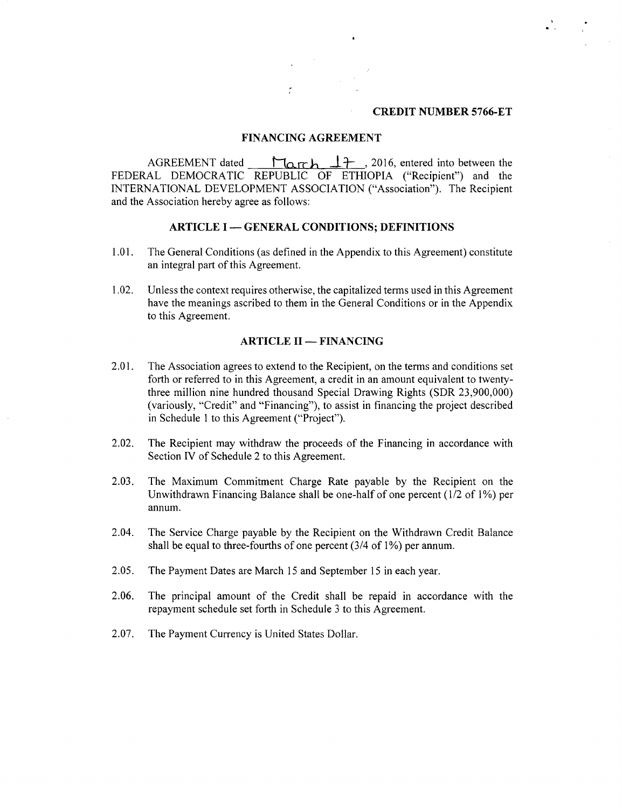#### **CREDIT NUMBER 5766-ET**

#### **FINANCING AGREEMENT**

AGREEMENT dated  $\begin{bmatrix} \text{Ler} \\ \text{Ler} \\ \text{Ler} \end{bmatrix}$ , 2016, entered into between the FEDERAL DEMOCRATIC REPUBLIC OF ETHIOPIA ("Recipient") and the **INTERNATIONAL DEVELOPMENT ASSOCIATION** ("Association"). The Recipient and the Association hereby agree as follows:

#### **ARTICLE I - GENERAL CONDITIONS; DEFINITIONS**

- **1.01.** The General Conditions (as defined in the Appendix to this Agreement) constitute an integral part of this Agreement.
- 1.02. Unless the context requires otherwise, the capitalized terms used in this Agreement have the meanings ascribed to them in the General Conditions or in the Appendix to this Agreement.

## **ARTICLE II - FINANCING**

- 2.01. The Association agrees to extend to the Recipient, on the terms and conditions set forth or referred to in this Agreement, a credit in an amount equivalent to twentythree million nine hundred thousand Special Drawing Rights (SDR **23,900,000)** (variously, "Credit" and "Financing"), to assist in financing the project described in Schedule 1 to this Agreement ("Project").
- 2.02. The Recipient may withdraw the proceeds of the Financing in accordance with Section IV of Schedule 2 to this Agreement.
- **2.03.** The Maximum Commitment Charge Rate payable **by** the Recipient on the Unwithdrawn Financing Balance shall be one-half of one percent (1/2 of **1%)** per annum.
- 2.04. The Service Charge payable **by** the Recipient on the Withdrawn Credit Balance shall be equal to three-fourths of one percent (3/4 of **1%)** per annum.
- *2.05.* The Payment Dates are March **15** and September **15** in each year.
- **2.06.** The principal amount of the Credit shall be repaid in accordance with the repayment schedule set forth in Schedule **3** to this Agreement.
- **2.07.** The Payment Currency is United States Dollar.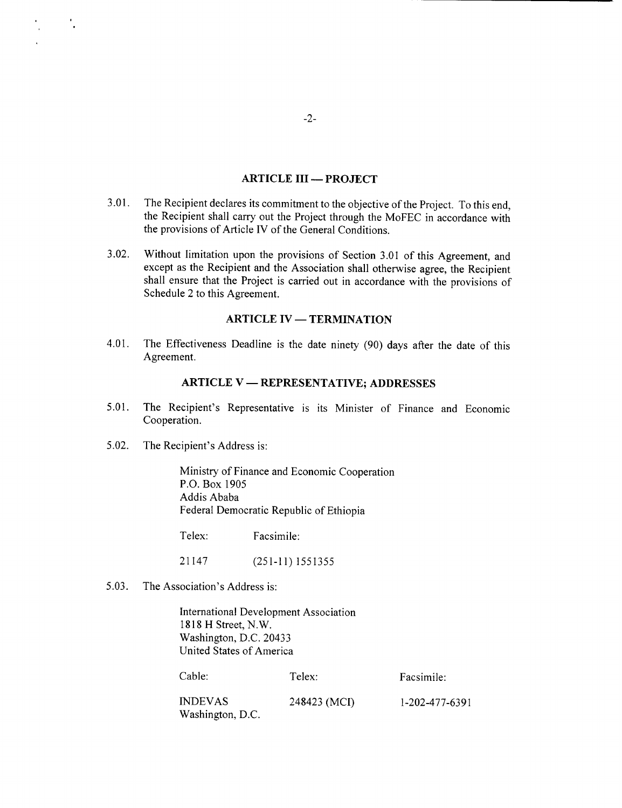### **ARTICLE III - PROJECT**

- **3.01.** The Recipient declares its commitment to the objective of the Project. To this end, the Recipient shall carry out the Project through the MoFEC in accordance with the provisions of Article IV of the General Conditions.
- **3.02.** Without limitation upon the provisions of Section **3.01** of this Agreement, and except as the Recipient and the Association shall otherwise agree, the Recipient shall ensure that the Project is carried out in accordance with the provisions of Schedule 2 to this Agreement.

### **ARTICLE IV - TERMINATION**

4.01. The Effectiveness Deadline is the date ninety **(90)** days after the date of this Agreement.

#### **ARTICLE** V **- REPRESENTATIVE; ADDRESSES**

- *5.01.* The Recipient's Representative is its Minister of Finance and Economic Cooperation.
- *5.02.* The Recipient's Address is:

۰.

Ministry of Finance and Economic Cooperation P.O. Box **1905** Addis Ababa Federal Democratic Republic of Ethiopia

Telex: Facsimile:

21147 **(251-11) 1551355**

**5.03.** The Association's Address is:

International Development Association **1818** H Street, N.W. Washington, **D.C.** 20433 United States of America

| Cable:                             | Telex:       | Facsimile:     |
|------------------------------------|--------------|----------------|
| <b>INDEVAS</b><br>Washington, D.C. | 248423 (MCI) | 1-202-477-6391 |

-2-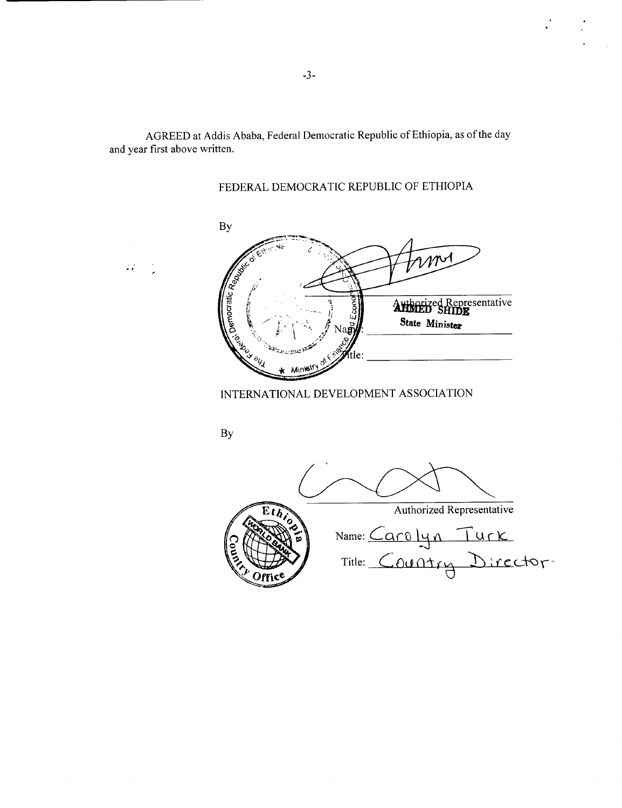AGREED at Addis Ababa, Federal Democratic Republic of Ethiopia, as of the day and year first above written.

 $\mathbb{Z}_4^{(k)}$  .

FEDERAL DEMOCRATIC REPUBLIC OF ETHIOPIA

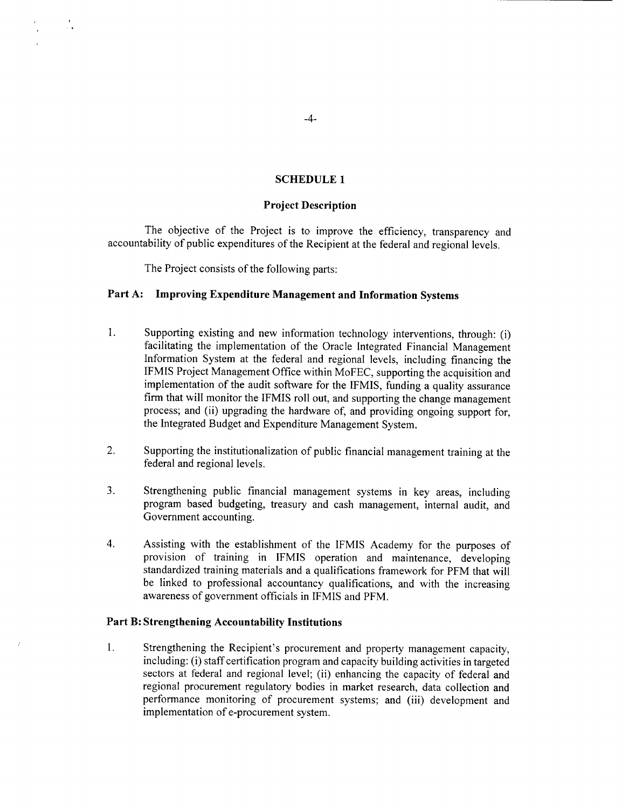## **SCHEDULE 1**

#### **Project Description**

The objective of the Project is to improve the efficiency, transparency and accountability of public expenditures of the Recipient at the federal and regional levels.

The Project consists of the following parts:

#### **Part A: Improving Expenditure Management and Information** Systems

- 1 **.** Supporting existing and new information technology interventions, through: (i) facilitating the implementation of the Oracle Integrated Financial Management Information System at the federal and regional levels, including financing the **IFMIS** Project Management Office within MoFEC, supporting the acquisition and implementation of the audit software for the **IFMIS,** funding a quality assurance firm that will monitor the **IFMIS** roll out, and supporting the change management process; and (ii) upgrading the hardware of, and providing ongoing support for, the Integrated Budget and Expenditure Management System.
- 2. Supporting the institutionalization of public financial management training at the federal and regional levels.
- **3.** Strengthening public financial management systems in key areas, including program based budgeting, treasury and cash management, internal audit, and Government accounting.
- 4. Assisting with the establishment of the **IFMIS** Academy for the purposes of provision of training in **IFMIS** operation and maintenance, developing standardized training materials and a qualifications framework for PFM that will be linked to professional accountancy qualifications, and with the increasing awareness of government officials in **IFMIS** and PFM.

#### **Part** B: Strengthening Accountability Institutions

<sup>1</sup>**.** Strengthening the Recipient's procurement and property management capacity, including: (i) staff certification program and capacity building activities in targeted sectors at federal and regional level; (ii) enhancing the capacity of federal and regional procurement regulatory bodies in market research, data collection and performance monitoring of procurement systems; and (iii) development and implementation of e-procurement system.

-4-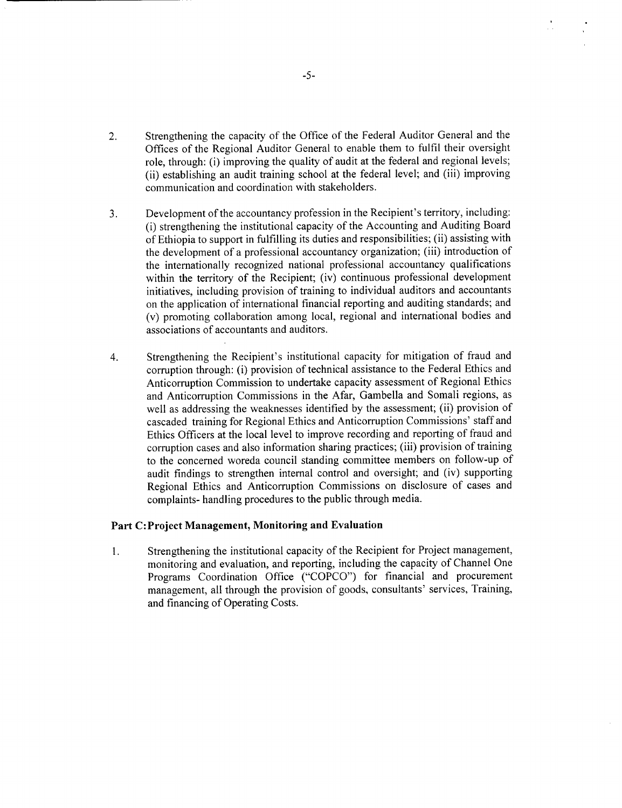- 2. Strengthening the capacity of the Office of the Federal Auditor General and the Offices of the Regional Auditor General to enable them to fulfil their oversight role, through: (i) improving the quality of audit at the federal and regional levels; (ii) establishing an audit training school at the federal level; and (iii) improving communication and coordination with stakeholders.
- **3.** Development of the accountancy profession in the Recipient's territory, including: (i) strengthening the institutional capacity of the Accounting and Auditing Board of Ethiopia to support in fulfilling its duties and responsibilities; (ii) assisting with the development of a professional accountancy organization; (iii) introduction of the internationally recognized national professional accountancy qualifications within the territory of the Recipient; (iv) continuous professional development initiatives, including provision of training to individual auditors and accountants on the application of international financial reporting and auditing standards; and (v) promoting collaboration among local, regional and international bodies and associations of accountants and auditors.
- 4. Strengthening the Recipient's institutional capacity for mitigation of fraud and corruption through: (i) provision of technical assistance to the Federal Ethics and Anticorruption Commission to undertake capacity assessment of Regional Ethics and Anticorruption Commissions in the Afar, Gambella and Somali regions, as well as addressing the weaknesses identified **by** the assessment; (ii) provision of cascaded training for Regional Ethics and Anticorruption Commissions' staff and Ethics Officers at the local level to improve recording and reporting of fraud and corruption cases and also information sharing practices; (iii) provision of training to the concerned woreda council standing committee members on follow-up of audit findings to strengthen internal control and oversight; and (iv) supporting Regional Ethics and Anticorruption Commissions on disclosure of cases and complaints- handling procedures to the public through media.

#### Part C:Project Management, Monitoring and Evaluation

1 **.** Strengthening the institutional capacity of the Recipient for Project management, monitoring and evaluation, and reporting, including the capacity of Channel One Programs Coordination Office **("COPCO")** for financial and procurement management, all through the provision of goods, consultants' services, Training, and financing of Operating Costs.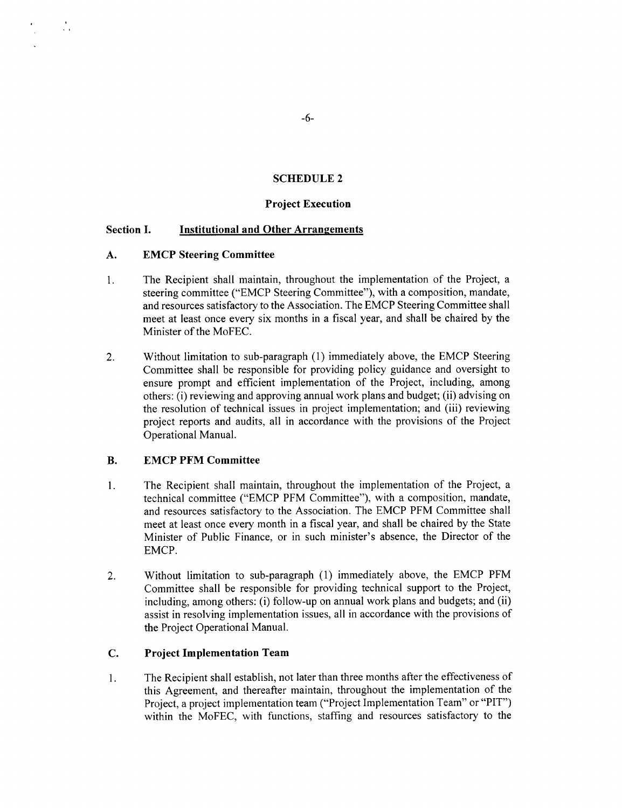# **SCHEDULE 2**

### **Project Execution**

### **Section I. Institutional and Other Arrangements**

#### **A. EMCP Steering Committee**

÷.

- 1. The Recipient shall maintain, throughout the implementation of the Project, a steering committee ("EMCP Steering Committee"), with a composition, mandate, and resources satisfactory to the Association. The EMCP Steering Committee shall meet at least once every six months in a fiscal year, and shall be chaired **by** the Minister of the MoFEC.
- 2. Without limitation to sub-paragraph **(1)** immediately above, the EMCP Steering Committee shall be responsible for providing policy guidance and oversight to ensure prompt and efficient implementation of the Project, including, among others: (i) reviewing and approving annual work plans and budget; (ii) advising on the resolution of technical issues in project implementation; and (iii) reviewing project reports and audits, all in accordance with the provisions of the Project Operational Manual.

#### B. **EMCP PFM Committee**

- **1.** The Recipient shall maintain, throughout the implementation of the Project, a technical committee ("EMCP PFM Committee"), with a composition, mandate, and resources satisfactory to the Association. The EMCP PFM Committee shall meet at least once every month in a fiscal year, and shall be chaired **by** the State Minister of Public Finance, or in such minister's absence, the Director of the EMCP.
- 2. Without limitation to sub-paragraph **(1)** immediately above, the EMCP PFM Committee shall be responsible for providing technical support to the Project, including, among others: (i) follow-up on annual work plans and budgets; and (ii) assist in resolving implementation issues, all in accordance with the provisions of the Project Operational Manual.

#### **C. Project Implementation Team**

1. The Recipient shall establish, not later than three months after the effectiveness of this Agreement, and thereafter maintain, throughout the implementation of the Project, a project implementation team ("Project Implementation Team" or "PIT") within the MoFEC, with functions, staffing and resources satisfactory to the

**-6-**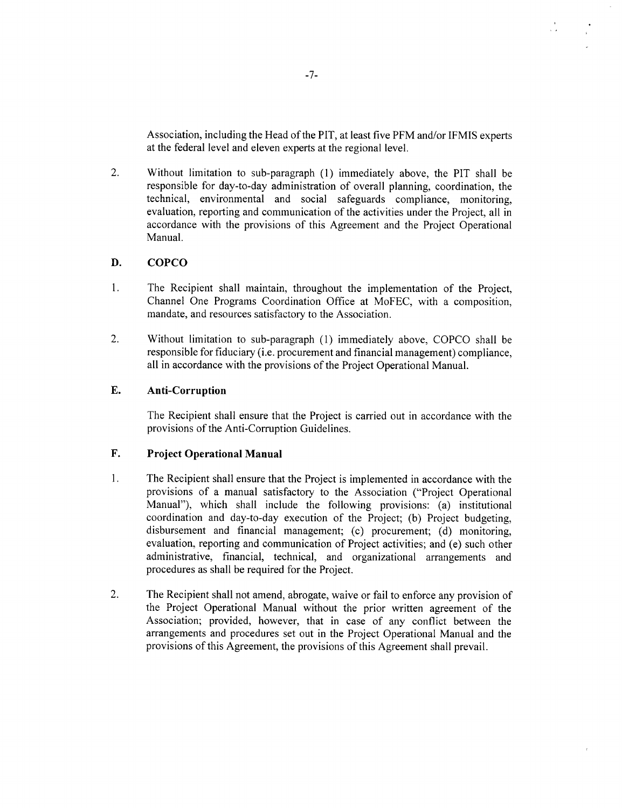Association, including the Head of the PIT, at least five PFM and/or **IFMIS** experts at the federal level and eleven experts at the regional level.

 $\frac{1}{\sqrt{2}}$ 

2. Without limitation to sub-paragraph **(1)** immediately above, the PIT shall be responsible for day-to-day administration of overall planning, coordination, the technical, environmental and social safeguards compliance, monitoring, evaluation, reporting and communication of the activities under the Project, all in accordance with the provisions of this Agreement and the Project Operational Manual.

### **D. COPCO**

- 1. The Recipient shall maintain, throughout the implementation of the Project, Channel One Programs Coordination Office at MoFEC, with a composition, mandate, and resources satisfactory to the Association.
- 2. Without limitation to sub-paragraph **(1)** immediately above, **COPCO** shall be responsible for fiduciary (i.e. procurement and financial management) compliance, all in accordance with the provisions of the Project Operational Manual.

# **E. Anti-Corruption**

The Recipient shall ensure that the Project is carried out in accordance with the provisions of the Anti-Corruption Guidelines.

#### **F. Project Operational Manual**

- 1 **.** The Recipient shall ensure that the Project is implemented in accordance with the provisions of a manual satisfactory to the Association ("Project Operational Manual"), which shall include the following provisions: (a) institutional coordination and day-to-day execution of the Project; **(b)** Project budgeting, disbursement and financial management; (c) procurement; **(d)** monitoring, evaluation, reporting and communication of Project activities; and (e) such other administrative, financial, technical, and organizational arrangements and procedures as shall be required for the Project.
- 2. The Recipient shall not amend, abrogate, waive or fail to enforce any provision of the Project Operational Manual without the prior written agreement of the Association; provided, however, that in case of any conflict between the arrangements and procedures set out in the Project Operational Manual and the provisions of this Agreement, the provisions of this Agreement shall prevail.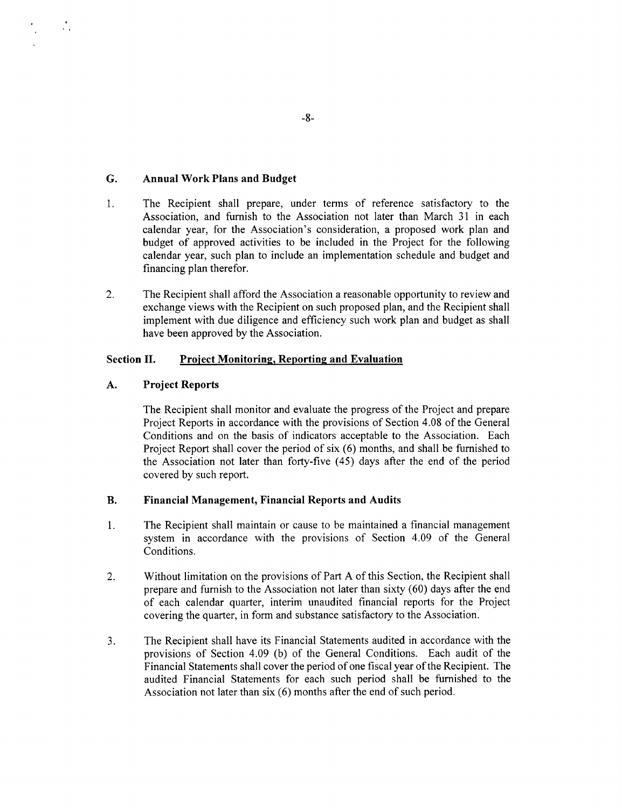### **G. Annual Work Plans and Budget**

 $\mathcal{L}_{\mathcal{A}}$ 

- **1.** The Recipient shall prepare, under terms of reference satisfactory to the Association, and furnish to the Association not later than March **31** in each calendar year, for the Association's consideration, a proposed work plan and budget of approved activities to be included in the Project for the following calendar year, such plan to include an implementation schedule and budget and financing plan therefor.
- 2. The Recipient shall afford the Association a reasonable opportunity to review and exchange views with the Recipient on such proposed plan, and the Recipient shall implement with due diligence and efficiency such work plan and budget as shall have been approved **by** the Association.

### **Section II. Project Monitoring, Reporting and Evaluation**

#### **A. Project Reports**

The Recipient shall monitor and evaluate the progress of the Project and prepare Project Reports in accordance with the provisions of Section 4.08 of the General Conditions and on the basis of indicators acceptable to the Association. Each Project Report shall cover the period of six **(6)** months, and shall be furnished to the Association not later than forty-five (45) days after the end of the period covered **by** such report.

#### B. Financial Management, Financial Reports and Audits

- **1.** The Recipient shall maintain or cause to be maintained a financial management system in accordance with the provisions of Section 4.09 of the General Conditions.
- 2. Without limitation on the provisions of Part **A** of this Section, the Recipient shall prepare and furnish to the Association not later than sixty **(60)** days after the end of each calendar quarter, interim unaudited financial reports for the Project covering the quarter, in form and substance satisfactory to the Association.
- **3.** The Recipient shall have its Financial Statements audited in accordance with the provisions of Section 4.09 **(b)** of the General Conditions. Each audit of the Financial Statements shall cover the period of one fiscal year of the Recipient. The audited Financial Statements for each such period shall be furnished to the Association not later than six **(6)** months after the end of such period.

**-8-**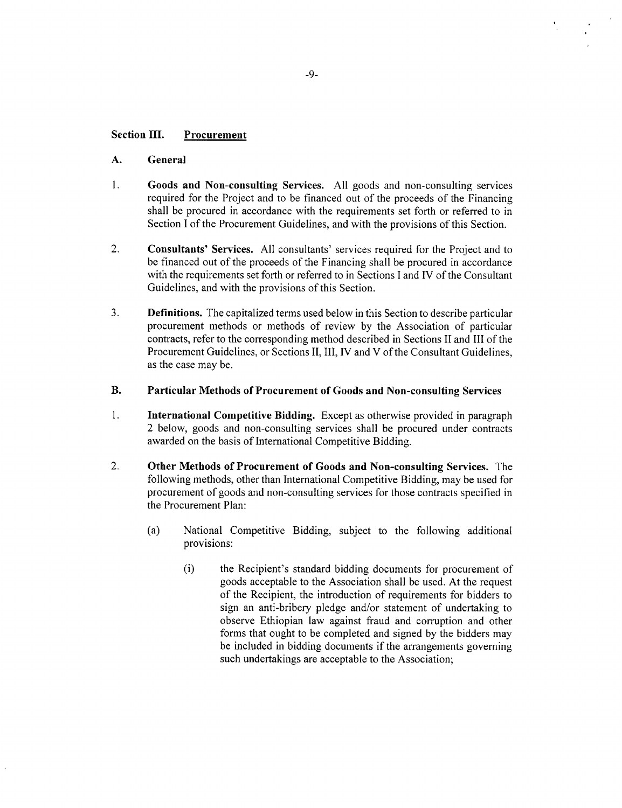#### **Section III. Procurement**

#### **A. General**

- 1. **Goods and Non-consulting Services. All** goods and non-consulting services required for the Project and to be financed out of the proceeds of the Financing shall be procured in accordance with the requirements set forth or referred to in Section I of the Procurement Guidelines, and with the provisions of this Section.
- **2. Consultants' Services. All** consultants' services required for the Project and to be financed out of the proceeds of the Financing shall be procured in accordance with the requirements set forth or referred to in Sections **I** and IV of the Consultant Guidelines, and with the provisions of this Section.
- **3. Definitions.** The capitalized terms used below in this Section to describe particular procurement methods or methods of review **by** the Association of particular contracts, refer to the corresponding method described in Sections II and **III** of the Procurement Guidelines, or Sections **II,** III, **IV** and V of the Consultant Guidelines, as the case may be.

# B. Particular Methods of Procurement **of Goods and Non-consulting Services**

- 1. **International Competitive Bidding.** Except as otherwise provided in paragraph 2 below, goods and non-consulting services shall be procured under contracts awarded on the basis of International Competitive Bidding.
- 2. **Other Methods of Procurement of Goods and Non-consulting** Services. The following methods, other than International Competitive Bidding, may be used for procurement of goods and non-consulting services for those contracts specified in the Procurement Plan:
	- (a) National Competitive Bidding, subject to the following additional provisions:
		- (i) the Recipient's standard bidding documents for procurement of goods acceptable to the Association shall be used. At the request of the Recipient, the introduction of requirements for bidders to sign an anti-bribery pledge and/or statement of undertaking to observe Ethiopian law against fraud and corruption and other forms that ought to be completed and signed **by** the bidders may be included in bidding documents if the arrangements governing such undertakings are acceptable to the Association;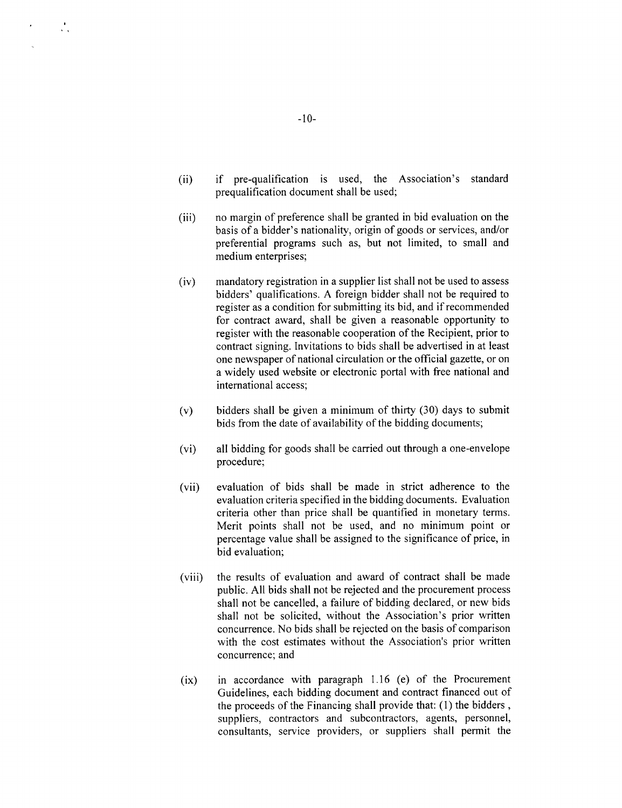- (ii) if pre-qualification is used, the Association's standard prequalification document shall be used;
- (iii) no margin of preference shall be granted in bid evaluation on the basis of a bidder's nationality, origin of goods or services, and/or preferential programs such as, but not limited, to small and medium enterprises;
- (iv) mandatory registration in a supplier list shall not be used to assess bidders' qualifications. **A** foreign bidder shall not be required to register as a condition for submitting its bid, and if recommended for contract award, shall be given a reasonable opportunity to register with the reasonable cooperation of the Recipient, prior to contract signing. Invitations to bids shall be advertised in at least one newspaper of national circulation or the official gazette, or on a widely used website or electronic portal with free national and international access;
- (v) bidders shall be given a minimum of thirty **(30)** days to submit bids from the date of availability of the bidding documents;
- (vi) all bidding for goods shall be carried out through a one-envelope procedure;
- (vii) evaluation of bids shall be made in strict adherence to the evaluation criteria specified in the bidding documents. Evaluation criteria other than price shall be quantified in monetary terms. Merit points shall not be used, and no minimum point or percentage value shall be assigned to the significance of price, in bid evaluation;
- (viii) the results of evaluation and award of contract shall be made public. **All** bids shall not be rejected and the procurement process shall not be cancelled, a failure of bidding declared, or new bids shall not be solicited, without the Association's prior written concurrence. No bids shall be rejected on the basis of comparison with the cost estimates without the Association's prior written concurrence; and
- (ix) in accordance with paragraph **1.16** (e) of the Procurement Guidelines, each bidding document and contract financed out of the proceeds of the Financing shall provide that: **(1)** the bidders **,** suppliers, contractors and subcontractors, agents, personnel, consultants, service providers, or suppliers shall permit the

**-10-**

 $\mathcal{L}_{\mathcal{A}}$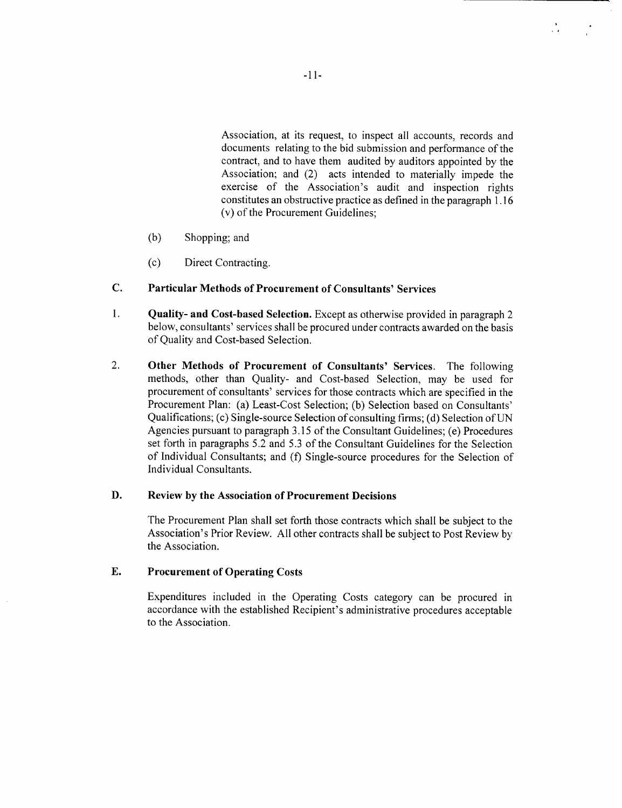Association, at its request, to inspect all accounts, records and documents relating to the bid submission and performance of the contract, and to have them audited **by** auditors appointed **by** the Association; and (2) acts intended to materially impede the exercise of the Association's audit and inspection rights constitutes an obstructive practice as defined in the paragraph **1.16** (v) of the Procurement Guidelines;

- **(b)** Shopping; and
- **(c)** Direct Contracting.

# **C. Particular Methods of Procurement of Consultants' Services**

- 1. **Quality- and Cost-based Selection.** Except as otherwise provided in paragraph 2 below, consultants' services shall be procured under contracts awarded on the basis of Quality and Cost-based Selection.
- 2. **Other Methods of Procurement of Consultants' Services.** The following methods, other than Quality- and Cost-based Selection, may be used for procurement of consultants' services for those contracts which are specified in the Procurement Plan: (a) Least-Cost Selection; **(b)** Selection based on Consultants' Qualifications; (c) Single-source Selection of consulting firms; **(d)** Selection of **UN** Agencies pursuant to paragraph **3.15** of the Consultant Guidelines; (e) Procedures set forth in paragraphs **5.2** and **5.3** of the Consultant Guidelines for the Selection of Individual Consultants; and **(f)** Single-source procedures for the Selection of Individual Consultants.

# **D.** Review **by** the Association **of Procurement Decisions**

The Procurement Plan shall set forth those contracts which shall be subject to the Association's Prior Review. **All** other contracts shall be subject to Post Review **by** the Association.

# **E. Procurement of Operating Costs**

Expenditures included in the Operating Costs category can be procured in accordance with the established Recipient's administrative procedures acceptable to the Association.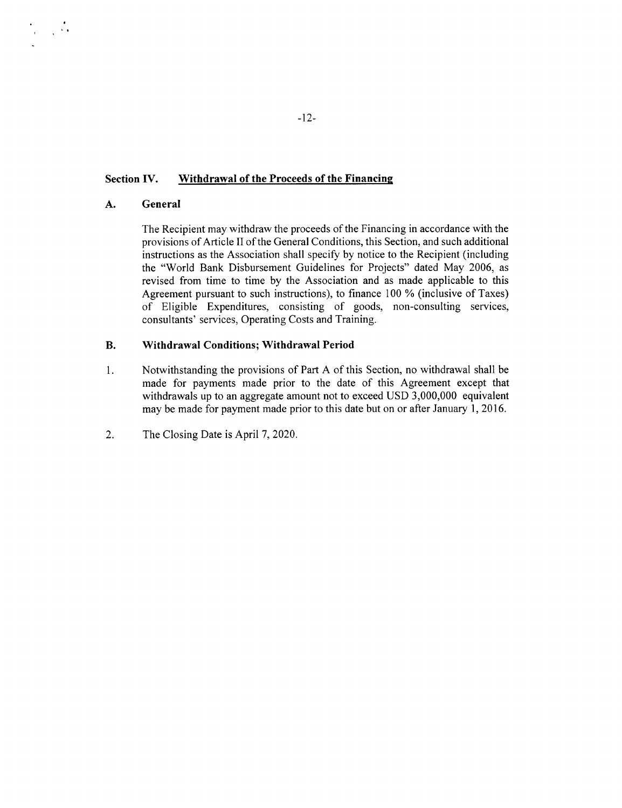#### **Section IV. Withdrawal of the Proceeds of the Financing**

#### **A. General**

 $\frac{1}{2} \sum_{i=1}^n \frac{1}{2} \sum_{j=1}^n \frac{1}{2}$ 

The Recipient may withdraw the proceeds of the Financing in accordance with the provisions of Article II of the General Conditions, this Section, and such additional instructions as the Association shall specify **by** notice to the Recipient (including the "World Bank Disbursement Guidelines for Projects" dated May **2006,** as revised from time to time **by** the Association and as made applicable to this Agreement pursuant to such instructions), to finance **100 %** (inclusive of Taxes) of Eligible Expenditures, consisting of goods, non-consulting services, consultants' services, Operating Costs and Training.

#### B. **Withdrawal Conditions; Withdrawal Period**

- **1.** Notwithstanding the provisions of Part **A** of this Section, no withdrawal shall be made for payments made prior to the date of this Agreement except that withdrawals up to an aggregate amount not to exceed **USD 3,000,000** equivalent may be made for payment made prior to this date but on or after January **1, 2016.**
- 2. The Closing Date is April **7,** 2020.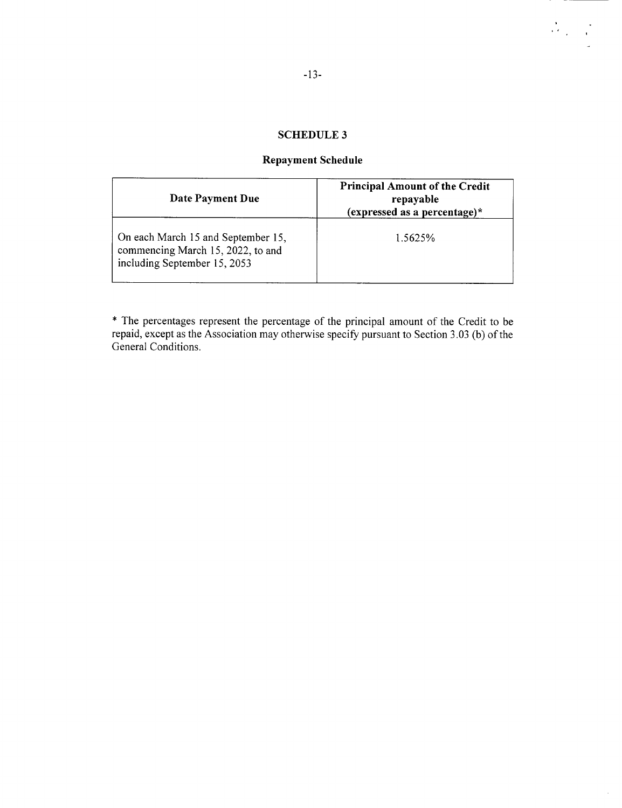# **SCHEDULE 3**

# **Repayment Schedule**

| Date Payment Due                                                                                        | <b>Principal Amount of the Credit</b><br>repayable<br>(expressed as a percentage)* |
|---------------------------------------------------------------------------------------------------------|------------------------------------------------------------------------------------|
| On each March 15 and September 15,<br>commencing March 15, 2022, to and<br>including September 15, 2053 | 1.5625%                                                                            |

\* The percentages represent the percentage of the principal amount of the Credit to be repaid, except as the Association may otherwise specify pursuant to Section **3.03 (b)** of the General Conditions.

 $\frac{\partial}{\partial x} \frac{\partial}{\partial y} = \frac{\partial}{\partial y}$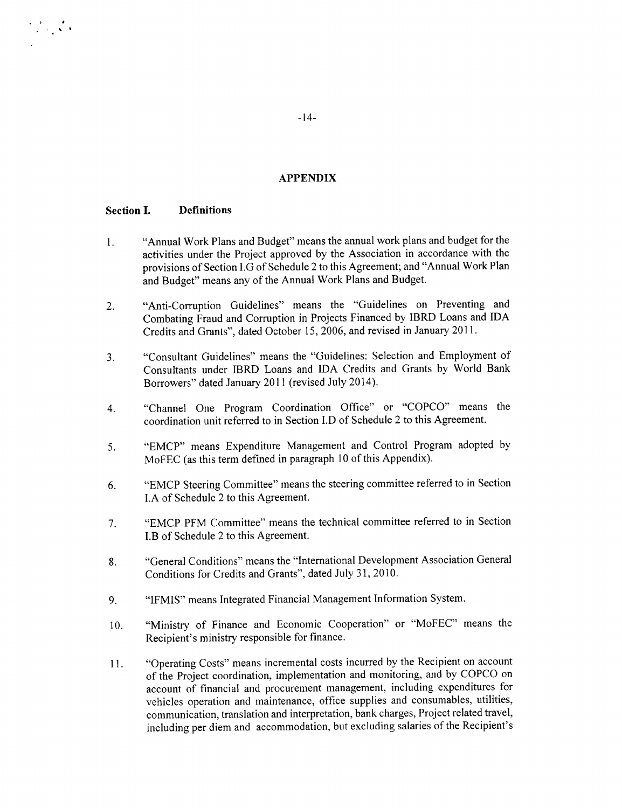#### **APPENDIX**

#### **Section I. Definitions**

 $\frac{1}{2}$  ,  $\frac{1}{2}$  ,  $\frac{1}{2}$  ,

- 1. "Annual Work Plans and Budget" means the annual work plans and budget for the activities under the Project approved **by** the Association in accordance with the provisions of Section **I.G** of Schedule 2 to this Agreement; and "Annual Work Plan and Budget" means any of the Annual Work Plans and Budget.
- 2. "Anti-Corruption Guidelines" means the "Guidelines on Preventing and Combating Fraud and Corruption in Projects Financed **by** IBRD Loans and **IDA** Credits and Grants", dated October **15, 2006,** and revised in January **2011.**
- **3.** "Consultant Guidelines" means the "Guidelines: Selection and Employment of Consultants under IBRD Loans and **IDA** Credits and Grants **by** World Bank Borrowers" dated January 2011 (revised July 2014).
- 4. "Channel One Program Coordination Office" or **"COPCO"** means the coordination unit referred to in Section **I.D** of Schedule 2 to this Agreement.
- **5.** "EMCP" means Expenditure Management and Control Program adopted **by** MoFEC (as this term defined in paragraph **10** of this Appendix).
- **6.** "EMCP Steering Committee" means the steering committee referred to in Section **I.A** of Schedule 2 to this Agreement.
- **7.** "EMCP PFM Committee" means the technical committee referred to in Section I.B of Schedule 2 to this Agreement.
- **8.** "General Conditions" means the "International Development Association General Conditions for Credits and Grants", dated July **31,** 2010.
- **9. "IFMIS"** means Integrated Financial Management Information System.
- **10.** "Ministry of Finance and Economic Cooperation" or "MoFEC" means the Recipient's ministry responsible for finance.
- **11.** "Operating Costs" means incremental costs incurred **by** the Recipient on account of the Project coordination, implementation and monitoring, and **by COPCO** on account of financial and procurement management, including expenditures for vehicles operation and maintenance, office supplies and consumables, utilities, communication, translation and interpretation, bank charges, Project related travel, including per diem and accommodation, but excluding salaries of the Recipient's

-14-